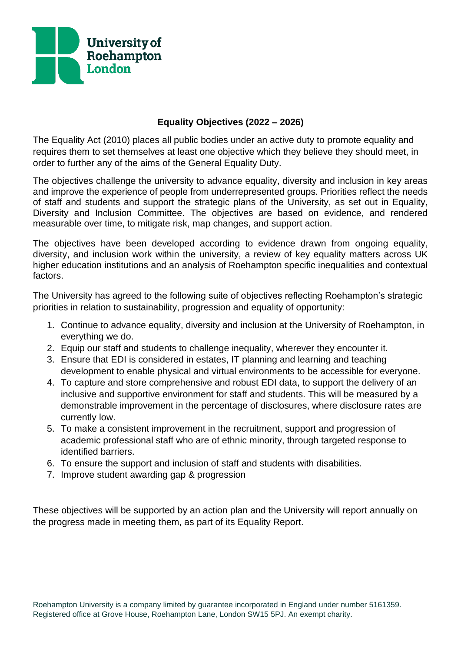

## **Equality Objectives (2022 – 2026)**

The Equality Act (2010) places all public bodies under an active duty to promote equality and requires them to set themselves at least one objective which they believe they should meet, in order to further any of the aims of the General Equality Duty.

The objectives challenge the university to advance equality, diversity and inclusion in key areas and improve the experience of people from underrepresented groups. Priorities reflect the needs of staff and students and support the strategic plans of the University, as set out in Equality, Diversity and Inclusion Committee. The objectives are based on evidence, and rendered measurable over time, to mitigate risk, map changes, and support action.

The objectives have been developed according to evidence drawn from ongoing equality, diversity, and inclusion work within the university, a review of key equality matters across UK higher education institutions and an analysis of Roehampton specific inequalities and contextual factors.

The University has agreed to the following suite of objectives reflecting Roehampton's strategic priorities in relation to sustainability, progression and equality of opportunity:

- 1. Continue to advance equality, diversity and inclusion at the University of Roehampton, in everything we do.
- 2. Equip our staff and students to challenge inequality, wherever they encounter it.
- 3. Ensure that EDI is considered in estates, IT planning and learning and teaching development to enable physical and virtual environments to be accessible for everyone.
- 4. To capture and store comprehensive and robust EDI data, to support the delivery of an inclusive and supportive environment for staff and students. This will be measured by a demonstrable improvement in the percentage of disclosures, where disclosure rates are currently low.
- 5. To make a consistent improvement in the recruitment, support and progression of academic professional staff who are of ethnic minority, through targeted response to identified barriers.
- 6. To ensure the support and inclusion of staff and students with disabilities.
- 7. Improve student awarding gap & progression

These objectives will be supported by an action plan and the University will report annually on the progress made in meeting them, as part of its Equality Report.